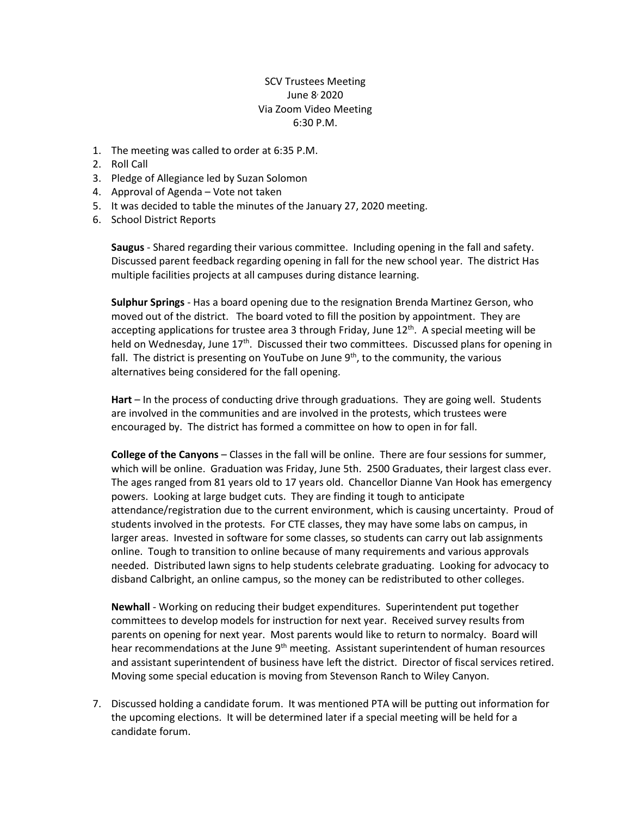## SCV Trustees Meeting June 8<sup>,</sup> 2020 Via Zoom Video Meeting 6:30 P.M.

- 1. The meeting was called to order at 6:35 P.M.
- 2. Roll Call
- 3. Pledge of Allegiance led by Suzan Solomon
- 4. Approval of Agenda Vote not taken
- 5. It was decided to table the minutes of the January 27, 2020 meeting.
- 6. School District Reports

**Saugus** - Shared regarding their various committee. Including opening in the fall and safety. Discussed parent feedback regarding opening in fall for the new school year. The district Has multiple facilities projects at all campuses during distance learning.

**Sulphur Springs** - Has a board opening due to the resignation Brenda Martinez Gerson, who moved out of the district. The board voted to fill the position by appointment. They are accepting applications for trustee area 3 through Friday, June  $12<sup>th</sup>$ . A special meeting will be held on Wednesday, June  $17<sup>th</sup>$ . Discussed their two committees. Discussed plans for opening in fall. The district is presenting on YouTube on June  $9<sup>th</sup>$ , to the community, the various alternatives being considered for the fall opening.

**Hart** – In the process of conducting drive through graduations. They are going well. Students are involved in the communities and are involved in the protests, which trustees were encouraged by. The district has formed a committee on how to open in for fall.

**College of the Canyons** – Classes in the fall will be online. There are four sessions for summer, which will be online. Graduation was Friday, June 5th. 2500 Graduates, their largest class ever. The ages ranged from 81 years old to 17 years old. Chancellor Dianne Van Hook has emergency powers. Looking at large budget cuts. They are finding it tough to anticipate attendance/registration due to the current environment, which is causing uncertainty. Proud of students involved in the protests. For CTE classes, they may have some labs on campus, in larger areas. Invested in software for some classes, so students can carry out lab assignments online. Tough to transition to online because of many requirements and various approvals needed. Distributed lawn signs to help students celebrate graduating. Looking for advocacy to disband Calbright, an online campus, so the money can be redistributed to other colleges.

**Newhall** - Working on reducing their budget expenditures. Superintendent put together committees to develop models for instruction for next year. Received survey results from parents on opening for next year. Most parents would like to return to normalcy. Board will hear recommendations at the June 9<sup>th</sup> meeting. Assistant superintendent of human resources and assistant superintendent of business have left the district. Director of fiscal services retired. Moving some special education is moving from Stevenson Ranch to Wiley Canyon.

7. Discussed holding a candidate forum. It was mentioned PTA will be putting out information for the upcoming elections. It will be determined later if a special meeting will be held for a candidate forum.